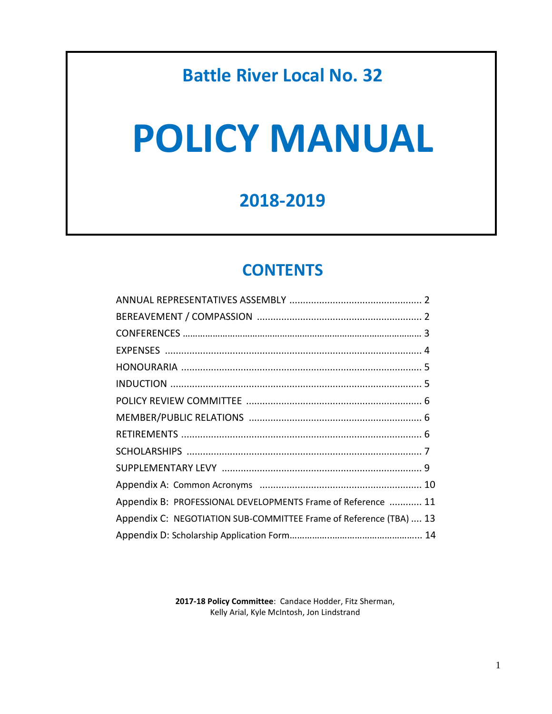# **Battle River Local No. 32**

# **POLICY MANUAL**

# **2018-2019**

# **CONTENTS**

| Appendix B: PROFESSIONAL DEVELOPMENTS Frame of Reference  11       |  |
|--------------------------------------------------------------------|--|
| Appendix C: NEGOTIATION SUB-COMMITTEE Frame of Reference (TBA)  13 |  |
|                                                                    |  |
|                                                                    |  |

**2017-18 Policy Committee**: Candace Hodder, Fitz Sherman, Kelly Arial, Kyle McIntosh, Jon Lindstrand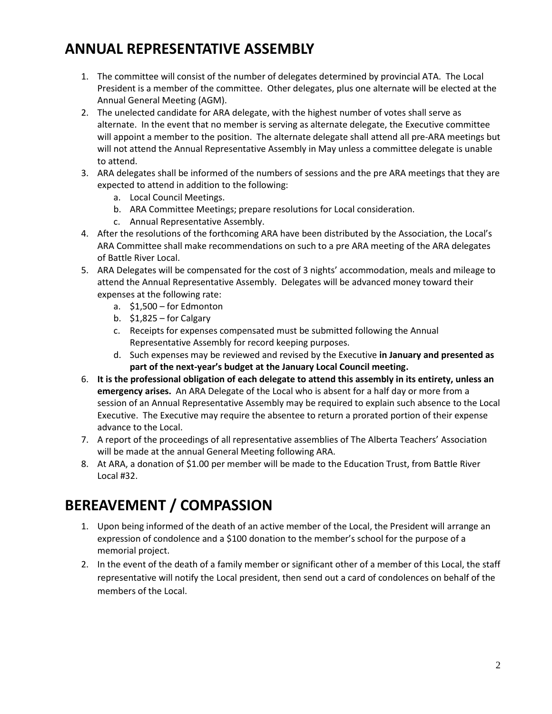# **ANNUAL REPRESENTATIVE ASSEMBLY**

- 1. The committee will consist of the number of delegates determined by provincial ATA. The Local President is a member of the committee. Other delegates, plus one alternate will be elected at the Annual General Meeting (AGM).
- 2. The unelected candidate for ARA delegate, with the highest number of votes shall serve as alternate. In the event that no member is serving as alternate delegate, the Executive committee will appoint a member to the position. The alternate delegate shall attend all pre-ARA meetings but will not attend the Annual Representative Assembly in May unless a committee delegate is unable to attend.
- 3. ARA delegates shall be informed of the numbers of sessions and the pre ARA meetings that they are expected to attend in addition to the following:
	- a. Local Council Meetings.
	- b. ARA Committee Meetings; prepare resolutions for Local consideration.
	- c. Annual Representative Assembly.
- 4. After the resolutions of the forthcoming ARA have been distributed by the Association, the Local's ARA Committee shall make recommendations on such to a pre ARA meeting of the ARA delegates of Battle River Local.
- 5. ARA Delegates will be compensated for the cost of 3 nights' accommodation, meals and mileage to attend the Annual Representative Assembly. Delegates will be advanced money toward their expenses at the following rate:
	- a. \$1,500 for Edmonton
	- b. \$1,825 for Calgary
	- c. Receipts for expenses compensated must be submitted following the Annual Representative Assembly for record keeping purposes.
	- d. Such expenses may be reviewed and revised by the Executive **in January and presented as part of the next-year's budget at the January Local Council meeting.**
- 6. **It is the professional obligation of each delegate to attend this assembly in its entirety, unless an emergency arises.** An ARA Delegate of the Local who is absent for a half day or more from a session of an Annual Representative Assembly may be required to explain such absence to the Local Executive. The Executive may require the absentee to return a prorated portion of their expense advance to the Local.
- 7. A report of the proceedings of all representative assemblies of The Alberta Teachers' Association will be made at the annual General Meeting following ARA.
- 8. At ARA, a donation of \$1.00 per member will be made to the Education Trust, from Battle River Local #32.

## **BEREAVEMENT / COMPASSION**

- 1. Upon being informed of the death of an active member of the Local, the President will arrange an expression of condolence and a \$100 donation to the member's school for the purpose of a memorial project.
- 2. In the event of the death of a family member or significant other of a member of this Local, the staff representative will notify the Local president, then send out a card of condolences on behalf of the members of the Local.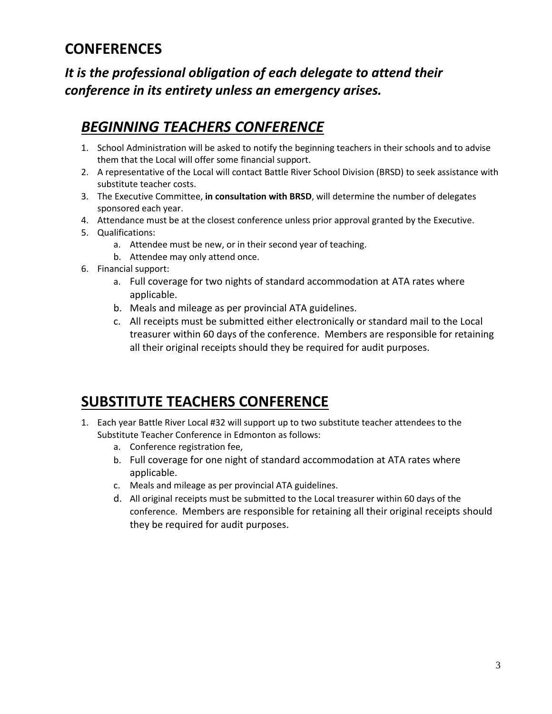## **CONFERENCES**

## *It is the professional obligation of each delegate to attend their conference in its entirety unless an emergency arises.*

# *BEGINNING TEACHERS CONFERENCE*

- 1. School Administration will be asked to notify the beginning teachers in their schools and to advise them that the Local will offer some financial support.
- 2. A representative of the Local will contact Battle River School Division (BRSD) to seek assistance with substitute teacher costs.
- 3. The Executive Committee, **in consultation with BRSD**, will determine the number of delegates sponsored each year.
- 4. Attendance must be at the closest conference unless prior approval granted by the Executive.
- 5. Qualifications:
	- a. Attendee must be new, or in their second year of teaching.
	- b. Attendee may only attend once.
- 6. Financial support:
	- a. Full coverage for two nights of standard accommodation at ATA rates where applicable.
	- b. Meals and mileage as per provincial ATA guidelines.
	- c. All receipts must be submitted either electronically or standard mail to the Local treasurer within 60 days of the conference. Members are responsible for retaining all their original receipts should they be required for audit purposes.

## **SUBSTITUTE TEACHERS CONFERENCE**

- 1. Each year Battle River Local #32 will support up to two substitute teacher attendees to the Substitute Teacher Conference in Edmonton as follows:
	- a. Conference registration fee,
	- b. Full coverage for one night of standard accommodation at ATA rates where applicable.
	- c. Meals and mileage as per provincial ATA guidelines.
	- d. All original receipts must be submitted to the Local treasurer within 60 days of the conference. Members are responsible for retaining all their original receipts should they be required for audit purposes.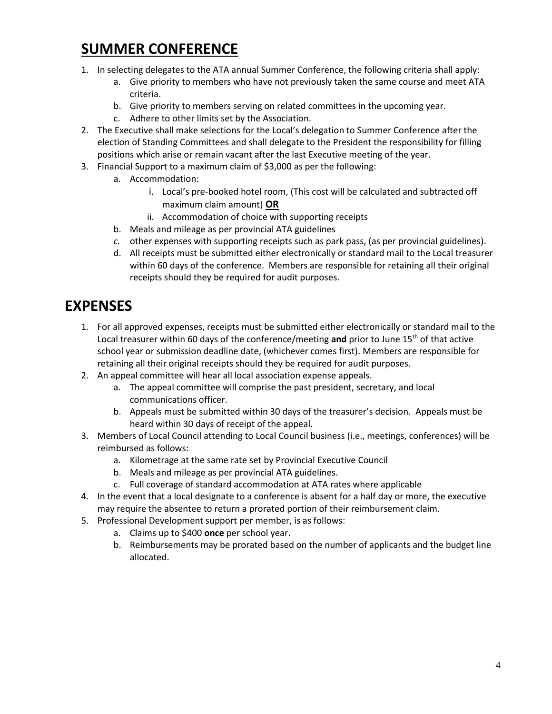## **SUMMER CONFERENCE**

- 1. In selecting delegates to the ATA annual Summer Conference, the following criteria shall apply:
	- a. Give priority to members who have not previously taken the same course and meet ATA criteria.
	- b. Give priority to members serving on related committees in the upcoming year.
	- c. Adhere to other limits set by the Association.
- 2. The Executive shall make selections for the Local's delegation to Summer Conference after the election of Standing Committees and shall delegate to the President the responsibility for filling positions which arise or remain vacant after the last Executive meeting of the year.
- 3. Financial Support to a maximum claim of \$3,000 as per the following:
	- a. Accommodation:
		- i. Local's pre-booked hotel room, (This cost will be calculated and subtracted off maximum claim amount) **OR**
		- ii. Accommodation of choice with supporting receipts
	- b. Meals and mileage as per provincial ATA guidelines
	- *c.* other expenses with supporting receipts such as park pass, (as per provincial guidelines).
	- d. All receipts must be submitted either electronically or standard mail to the Local treasurer within 60 days of the conference. Members are responsible for retaining all their original receipts should they be required for audit purposes.

## **EXPENSES**

- 1. For all approved expenses, receipts must be submitted either electronically or standard mail to the Local treasurer within 60 days of the conference/meeting **and** prior to June 15<sup>th</sup> of that active school year or submission deadline date, (whichever comes first). Members are responsible for retaining all their original receipts should they be required for audit purposes.
- 2. An appeal committee will hear all local association expense appeals.
	- a. The appeal committee will comprise the past president, secretary, and local communications officer.
	- b. Appeals must be submitted within 30 days of the treasurer's decision. Appeals must be heard within 30 days of receipt of the appeal.
- 3. Members of Local Council attending to Local Council business (i.e., meetings, conferences) will be reimbursed as follows:
	- a. Kilometrage at the same rate set by Provincial Executive Council
	- b. Meals and mileage as per provincial ATA guidelines.
	- c. Full coverage of standard accommodation at ATA rates where applicable
- 4. In the event that a local designate to a conference is absent for a half day or more, the executive may require the absentee to return a prorated portion of their reimbursement claim.
- 5. Professional Development support per member, is as follows:
	- a. Claims up to \$400 **once** per school year.
	- b. Reimbursements may be prorated based on the number of applicants and the budget line allocated.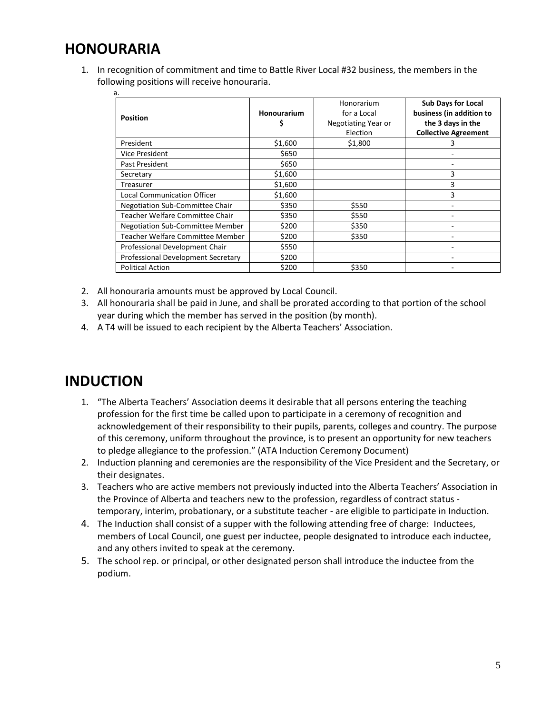## **HONOURARIA**

1. In recognition of commitment and time to Battle River Local #32 business, the members in the following positions will receive honouraria.

| a.<br><b>Position</b>                   | Honourarium<br>\$ | Honorarium<br>for a Local<br>Negotiating Year or | <b>Sub Days for Local</b><br>business (in addition to<br>the 3 days in the |  |
|-----------------------------------------|-------------------|--------------------------------------------------|----------------------------------------------------------------------------|--|
|                                         |                   | Election                                         | <b>Collective Agreement</b>                                                |  |
| President                               | \$1,600           | \$1,800                                          | 3                                                                          |  |
| Vice President                          | \$650             |                                                  |                                                                            |  |
| Past President                          | \$650             |                                                  |                                                                            |  |
| Secretary                               | \$1,600           |                                                  | 3                                                                          |  |
| Treasurer                               | \$1,600           |                                                  | 3                                                                          |  |
| <b>Local Communication Officer</b>      | \$1,600           |                                                  | 3                                                                          |  |
| <b>Negotiation Sub-Committee Chair</b>  | \$350             | \$550                                            |                                                                            |  |
| Teacher Welfare Committee Chair         | \$350             | \$550                                            |                                                                            |  |
| <b>Negotiation Sub-Committee Member</b> | \$200             | \$350                                            |                                                                            |  |
| Teacher Welfare Committee Member        | \$200             | \$350                                            |                                                                            |  |
| Professional Development Chair          | \$550             |                                                  |                                                                            |  |
| Professional Development Secretary      | \$200             |                                                  |                                                                            |  |
| <b>Political Action</b>                 | \$200             | \$350                                            |                                                                            |  |

- 2. All honouraria amounts must be approved by Local Council.
- 3. All honouraria shall be paid in June, and shall be prorated according to that portion of the school year during which the member has served in the position (by month).
- 4. A T4 will be issued to each recipient by the Alberta Teachers' Association.

## **INDUCTION**

- 1. "The Alberta Teachers' Association deems it desirable that all persons entering the teaching profession for the first time be called upon to participate in a ceremony of recognition and acknowledgement of their responsibility to their pupils, parents, colleges and country. The purpose of this ceremony, uniform throughout the province, is to present an opportunity for new teachers to pledge allegiance to the profession." (ATA Induction Ceremony Document)
- 2. Induction planning and ceremonies are the responsibility of the Vice President and the Secretary, or their designates.
- 3. Teachers who are active members not previously inducted into the Alberta Teachers' Association in the Province of Alberta and teachers new to the profession, regardless of contract status temporary, interim, probationary, or a substitute teacher - are eligible to participate in Induction.
- 4. The Induction shall consist of a supper with the following attending free of charge: Inductees, members of Local Council, one guest per inductee, people designated to introduce each inductee, and any others invited to speak at the ceremony.
- 5. The school rep. or principal, or other designated person shall introduce the inductee from the podium.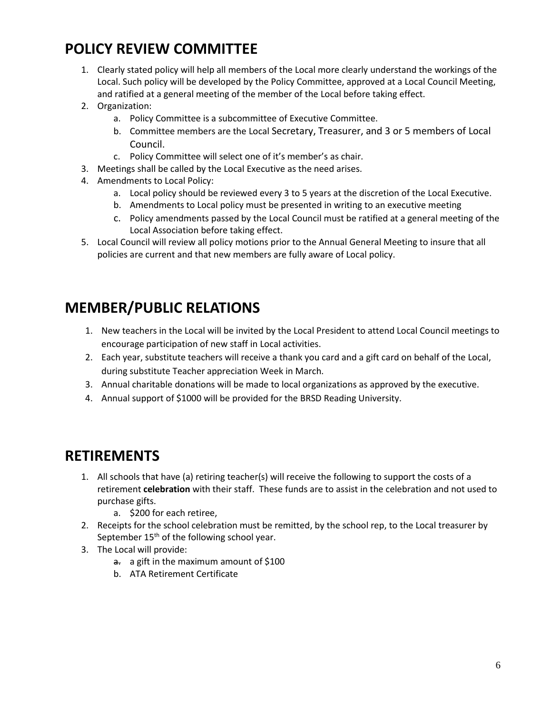# **POLICY REVIEW COMMITTEE**

- 1. Clearly stated policy will help all members of the Local more clearly understand the workings of the Local. Such policy will be developed by the Policy Committee, approved at a Local Council Meeting, and ratified at a general meeting of the member of the Local before taking effect.
- 2. Organization:
	- a. Policy Committee is a subcommittee of Executive Committee.
	- b. Committee members are the Local Secretary, Treasurer, and 3 or 5 members of Local Council.
	- c. Policy Committee will select one of it's member's as chair.
- 3. Meetings shall be called by the Local Executive as the need arises.
- 4. Amendments to Local Policy:
	- a. Local policy should be reviewed every 3 to 5 years at the discretion of the Local Executive.
	- b. Amendments to Local policy must be presented in writing to an executive meeting
	- c. Policy amendments passed by the Local Council must be ratified at a general meeting of the Local Association before taking effect.
- 5. Local Council will review all policy motions prior to the Annual General Meeting to insure that all policies are current and that new members are fully aware of Local policy.

# **MEMBER/PUBLIC RELATIONS**

- 1. New teachers in the Local will be invited by the Local President to attend Local Council meetings to encourage participation of new staff in Local activities.
- 2. Each year, substitute teachers will receive a thank you card and a gift card on behalf of the Local, during substitute Teacher appreciation Week in March.
- 3. Annual charitable donations will be made to local organizations as approved by the executive.
- 4. Annual support of \$1000 will be provided for the BRSD Reading University.

## **RETIREMENTS**

- 1. All schools that have (a) retiring teacher(s) will receive the following to support the costs of a retirement **celebration** with their staff. These funds are to assist in the celebration and not used to purchase gifts.
	- a. \$200 for each retiree,
- 2. Receipts for the school celebration must be remitted, by the school rep, to the Local treasurer by September  $15<sup>th</sup>$  of the following school year.
- 3. The Local will provide:
	- a. a gift in the maximum amount of \$100
	- b. ATA Retirement Certificate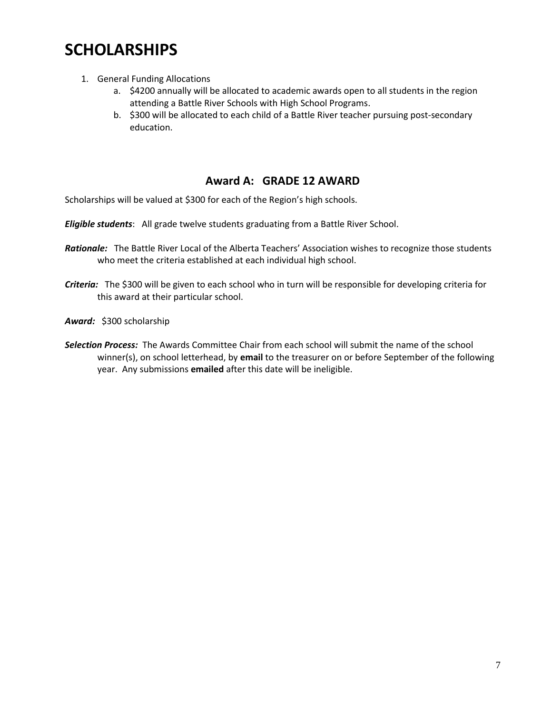# **SCHOLARSHIPS**

- 1. General Funding Allocations
	- a. \$4200 annually will be allocated to academic awards open to all students in the region attending a Battle River Schools with High School Programs.
	- b. \$300 will be allocated to each child of a Battle River teacher pursuing post-secondary education.

## **Award A: GRADE 12 AWARD**

Scholarships will be valued at \$300 for each of the Region's high schools.

*Eligible students*: All grade twelve students graduating from a Battle River School.

- *Rationale:* The Battle River Local of the Alberta Teachers' Association wishes to recognize those students who meet the criteria established at each individual high school.
- *Criteria:* The \$300 will be given to each school who in turn will be responsible for developing criteria for this award at their particular school.

*Award:* \$300 scholarship

*Selection Process:* The Awards Committee Chair from each school will submit the name of the school winner(s), on school letterhead, by **email** to the treasurer on or before September of the following year. Any submissions **emailed** after this date will be ineligible.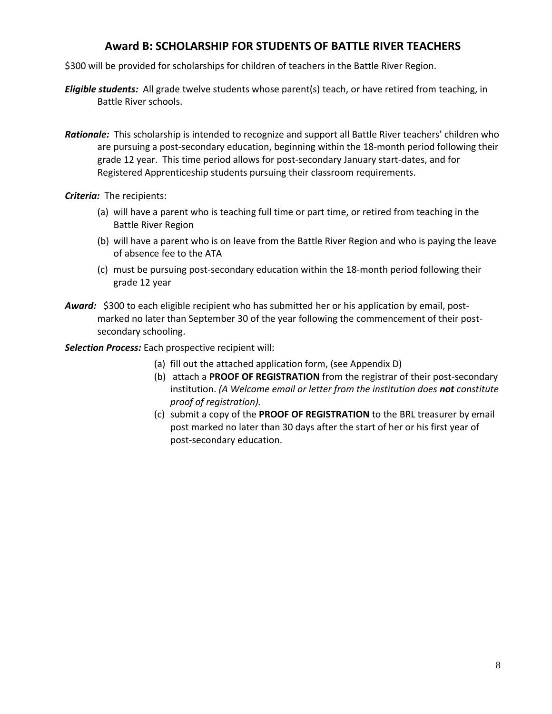## **Award B: SCHOLARSHIP FOR STUDENTS OF BATTLE RIVER TEACHERS**

\$300 will be provided for scholarships for children of teachers in the Battle River Region.

- *Eligible students:* All grade twelve students whose parent(s) teach, or have retired from teaching, in Battle River schools.
- *Rationale:* This scholarship is intended to recognize and support all Battle River teachers' children who are pursuing a post-secondary education, beginning within the 18-month period following their grade 12 year. This time period allows for post-secondary January start-dates, and for Registered Apprenticeship students pursuing their classroom requirements.

*Criteria:* The recipients:

- (a) will have a parent who is teaching full time or part time, or retired from teaching in the Battle River Region
- (b) will have a parent who is on leave from the Battle River Region and who is paying the leave of absence fee to the ATA
- (c) must be pursuing post-secondary education within the 18-month period following their grade 12 year
- *Award:* \$300 to each eligible recipient who has submitted her or his application by email, postmarked no later than September 30 of the year following the commencement of their postsecondary schooling.

*Selection Process:* Each prospective recipient will:

- (a) fill out the attached application form, (see Appendix D)
- (b) attach a **PROOF OF REGISTRATION** from the registrar of their post-secondary institution. *(A Welcome email or letter from the institution does not constitute proof of registration).*
- (c) submit a copy of the **PROOF OF REGISTRATION** to the BRL treasurer by email post marked no later than 30 days after the start of her or his first year of post-secondary education.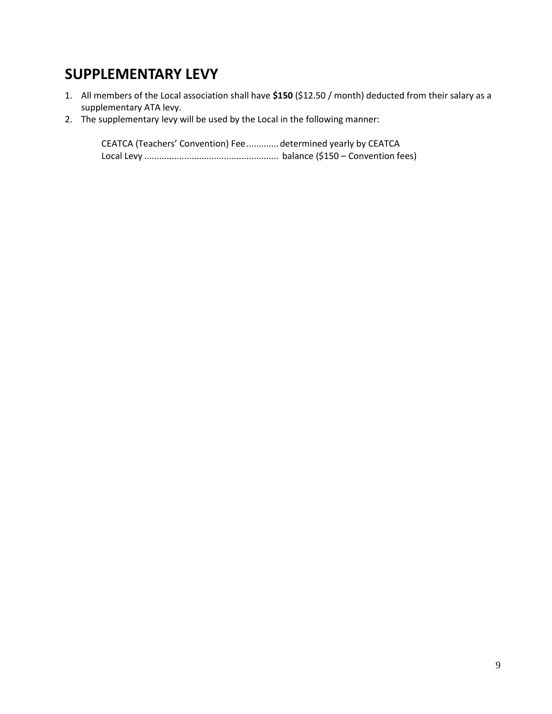## **SUPPLEMENTARY LEVY**

- 1. All members of the Local association shall have **\$150** (\$12.50 / month) deducted from their salary as a supplementary ATA levy.
- 2. The supplementary levy will be used by the Local in the following manner:

CEATCA (Teachers' Convention) Fee.............determined yearly by CEATCA Local Levy ...................................................... balance (\$150 – Convention fees)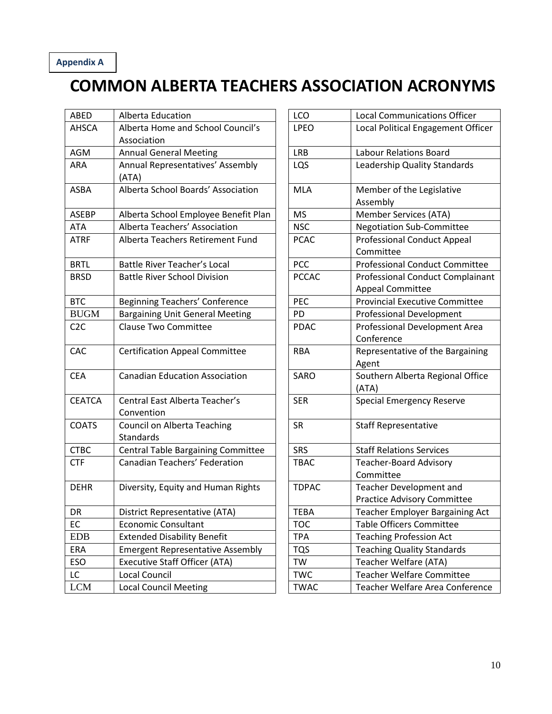## **Appendix A**

# **COMMON ALBERTA TEACHERS ASSOCIATION ACRONYMS**

| <b>ABED</b>   | Alberta Education                       | LCO          | <b>Local Communications Officer</b>   |
|---------------|-----------------------------------------|--------------|---------------------------------------|
| <b>AHSCA</b>  | Alberta Home and School Council's       | <b>LPEO</b>  | Local Political Engagement Office     |
|               | Association                             |              |                                       |
| AGM           | <b>Annual General Meeting</b>           | <b>LRB</b>   | <b>Labour Relations Board</b>         |
| <b>ARA</b>    | Annual Representatives' Assembly        | LQS          | Leadership Quality Standards          |
|               | (ATA)                                   |              |                                       |
| <b>ASBA</b>   | Alberta School Boards' Association      | <b>MLA</b>   | Member of the Legislative             |
|               |                                         |              | Assembly                              |
| <b>ASEBP</b>  | Alberta School Employee Benefit Plan    | <b>MS</b>    | <b>Member Services (ATA)</b>          |
| ATA           | Alberta Teachers' Association           | <b>NSC</b>   | <b>Negotiation Sub-Committee</b>      |
| <b>ATRF</b>   | Alberta Teachers Retirement Fund        | <b>PCAC</b>  | <b>Professional Conduct Appeal</b>    |
|               |                                         |              | Committee                             |
| <b>BRTL</b>   | Battle River Teacher's Local            | <b>PCC</b>   | <b>Professional Conduct Committee</b> |
| <b>BRSD</b>   | <b>Battle River School Division</b>     | <b>PCCAC</b> | Professional Conduct Complainar       |
|               |                                         |              | <b>Appeal Committee</b>               |
| <b>BTC</b>    | <b>Beginning Teachers' Conference</b>   | PEC          | <b>Provincial Executive Committee</b> |
| <b>BUGM</b>   | <b>Bargaining Unit General Meeting</b>  | PD           | <b>Professional Development</b>       |
| C2C           | <b>Clause Two Committee</b>             | <b>PDAC</b>  | Professional Development Area         |
|               |                                         |              | Conference                            |
| CAC           | <b>Certification Appeal Committee</b>   | <b>RBA</b>   | Representative of the Bargaining      |
|               |                                         |              | Agent                                 |
| <b>CEA</b>    | <b>Canadian Education Association</b>   | SARO         | Southern Alberta Regional Office      |
|               |                                         |              | (ATA)                                 |
| <b>CEATCA</b> | Central East Alberta Teacher's          | <b>SER</b>   | <b>Special Emergency Reserve</b>      |
|               | Convention                              |              |                                       |
| <b>COATS</b>  | <b>Council on Alberta Teaching</b>      | <b>SR</b>    | <b>Staff Representative</b>           |
|               | <b>Standards</b>                        |              |                                       |
| <b>CTBC</b>   | Central Table Bargaining Committee      | <b>SRS</b>   | <b>Staff Relations Services</b>       |
| <b>CTF</b>    | Canadian Teachers' Federation           | <b>TBAC</b>  | <b>Teacher-Board Advisory</b>         |
|               |                                         |              | Committee                             |
| <b>DEHR</b>   | Diversity, Equity and Human Rights      | <b>TDPAC</b> | Teacher Development and               |
|               |                                         |              | <b>Practice Advisory Committee</b>    |
| DR            | District Representative (ATA)           | <b>TEBA</b>  | Teacher Employer Bargaining Act       |
| EC            | <b>Economic Consultant</b>              | <b>TOC</b>   | <b>Table Officers Committee</b>       |
| <b>EDB</b>    | <b>Extended Disability Benefit</b>      | <b>TPA</b>   | <b>Teaching Profession Act</b>        |
| <b>ERA</b>    | <b>Emergent Representative Assembly</b> | <b>TQS</b>   | <b>Teaching Quality Standards</b>     |
| ESO           | <b>Executive Staff Officer (ATA)</b>    | <b>TW</b>    | Teacher Welfare (ATA)                 |
| LC            | Local Council                           | <b>TWC</b>   | <b>Teacher Welfare Committee</b>      |
| <b>LCM</b>    | <b>Local Council Meeting</b>            | <b>TWAC</b>  | Teacher Welfare Area Conferenc        |
|               |                                         |              |                                       |

| ABED          | Alberta Education                                | LCO          | <b>Local Communications Officer</b>                           |
|---------------|--------------------------------------------------|--------------|---------------------------------------------------------------|
| AHSCA         | Alberta Home and School Council's<br>Association | <b>LPEO</b>  | Local Political Engagement Officer                            |
| AGM           | <b>Annual General Meeting</b>                    | <b>LRB</b>   | <b>Labour Relations Board</b>                                 |
| ARA           | Annual Representatives' Assembly<br>(ATA)        | LQS          | Leadership Quality Standards                                  |
| <b>ASBA</b>   | Alberta School Boards' Association               | <b>MLA</b>   | Member of the Legislative<br>Assembly                         |
| <b>ASEBP</b>  | Alberta School Employee Benefit Plan             | <b>MS</b>    | Member Services (ATA)                                         |
| ATA           | Alberta Teachers' Association                    | <b>NSC</b>   | <b>Negotiation Sub-Committee</b>                              |
| <b>ATRF</b>   | Alberta Teachers Retirement Fund                 | <b>PCAC</b>  | <b>Professional Conduct Appeal</b><br>Committee               |
| <b>BRTL</b>   | <b>Battle River Teacher's Local</b>              | <b>PCC</b>   | <b>Professional Conduct Committee</b>                         |
| <b>BRSD</b>   | <b>Battle River School Division</b>              | <b>PCCAC</b> | Professional Conduct Complainant<br><b>Appeal Committee</b>   |
| <b>BTC</b>    | Beginning Teachers' Conference                   | PEC          | <b>Provincial Executive Committee</b>                         |
| <b>BUGM</b>   | <b>Bargaining Unit General Meeting</b>           | PD           | <b>Professional Development</b>                               |
| C2C           | <b>Clause Two Committee</b>                      | <b>PDAC</b>  | Professional Development Area<br>Conference                   |
| CAC           | <b>Certification Appeal Committee</b>            | <b>RBA</b>   | Representative of the Bargaining<br>Agent                     |
| <b>CEA</b>    | <b>Canadian Education Association</b>            | SARO         | Southern Alberta Regional Office<br>(ATA)                     |
| <b>CEATCA</b> | Central East Alberta Teacher's<br>Convention     | <b>SER</b>   | <b>Special Emergency Reserve</b>                              |
| <b>COATS</b>  | <b>Council on Alberta Teaching</b><br>Standards  | <b>SR</b>    | <b>Staff Representative</b>                                   |
| <b>CTBC</b>   | Central Table Bargaining Committee               | <b>SRS</b>   | <b>Staff Relations Services</b>                               |
| <b>CTF</b>    | Canadian Teachers' Federation                    | <b>TBAC</b>  | <b>Teacher-Board Advisory</b><br>Committee                    |
| <b>DEHR</b>   | Diversity, Equity and Human Rights               | <b>TDPAC</b> | Teacher Development and<br><b>Practice Advisory Committee</b> |
| DR            | District Representative (ATA)                    | TEBA         | Teacher Employer Bargaining Act                               |
| ЕC            | <b>Economic Consultant</b>                       | <b>TOC</b>   | Table Officers Committee                                      |
| <b>EDB</b>    | <b>Extended Disability Benefit</b>               | <b>TPA</b>   | <b>Teaching Profession Act</b>                                |
| ERA           | <b>Emergent Representative Assembly</b>          | <b>TQS</b>   | <b>Teaching Quality Standards</b>                             |
| ESO           | <b>Executive Staff Officer (ATA)</b>             | TW           | Teacher Welfare (ATA)                                         |
| LC.           | Local Council                                    | <b>TWC</b>   | <b>Teacher Welfare Committee</b>                              |
| <b>LCM</b>    | <b>Local Council Meeting</b>                     | <b>TWAC</b>  | Teacher Welfare Area Conference                               |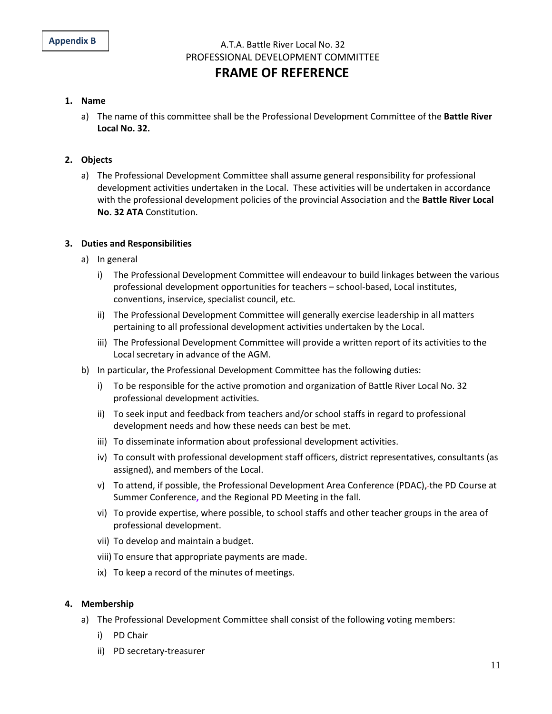A.T.A. Battle River Local No. 32 PROFESSIONAL DEVELOPMENT COMMITTEE

## **FRAME OF REFERENCE**

#### **1. Name**

a) The name of this committee shall be the Professional Development Committee of the **Battle River Local No. 32.**

#### **2. Objects**

a) The Professional Development Committee shall assume general responsibility for professional development activities undertaken in the Local. These activities will be undertaken in accordance with the professional development policies of the provincial Association and the **Battle River Local No. 32 ATA** Constitution.

#### **3. Duties and Responsibilities**

- a) In general
	- i) The Professional Development Committee will endeavour to build linkages between the various professional development opportunities for teachers – school-based, Local institutes, conventions, inservice, specialist council, etc.
	- ii) The Professional Development Committee will generally exercise leadership in all matters pertaining to all professional development activities undertaken by the Local.
	- iii) The Professional Development Committee will provide a written report of its activities to the Local secretary in advance of the AGM.
- b) In particular, the Professional Development Committee has the following duties:
	- i) To be responsible for the active promotion and organization of Battle River Local No. 32 professional development activities.
	- ii) To seek input and feedback from teachers and/or school staffs in regard to professional development needs and how these needs can best be met.
	- iii) To disseminate information about professional development activities.
	- iv) To consult with professional development staff officers, district representatives, consultants (as assigned), and members of the Local.
	- v) To attend, if possible, the Professional Development Area Conference (PDAC), the PD Course at Summer Conference**,** and the Regional PD Meeting in the fall.
	- vi) To provide expertise, where possible, to school staffs and other teacher groups in the area of professional development.
	- vii) To develop and maintain a budget.
	- viii) To ensure that appropriate payments are made.
	- ix) To keep a record of the minutes of meetings.

#### **4. Membership**

- a) The Professional Development Committee shall consist of the following voting members:
	- i) PD Chair
	- ii) PD secretary-treasurer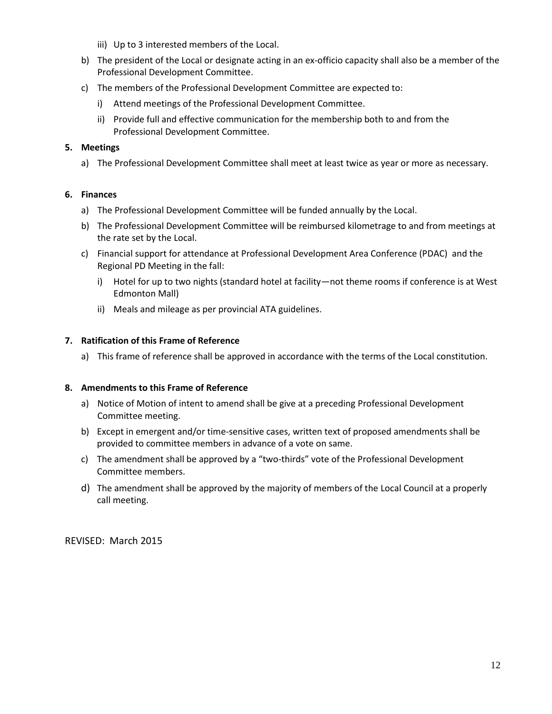- iii) Up to 3 interested members of the Local.
- b) The president of the Local or designate acting in an ex-officio capacity shall also be a member of the Professional Development Committee.
- c) The members of the Professional Development Committee are expected to:
	- i) Attend meetings of the Professional Development Committee.
	- ii) Provide full and effective communication for the membership both to and from the Professional Development Committee.

## **5. Meetings**

a) The Professional Development Committee shall meet at least twice as year or more as necessary.

## **6. Finances**

- a) The Professional Development Committee will be funded annually by the Local.
- b) The Professional Development Committee will be reimbursed kilometrage to and from meetings at the rate set by the Local.
- c) Financial support for attendance at Professional Development Area Conference (PDAC) and the Regional PD Meeting in the fall:
	- i) Hotel for up to two nights (standard hotel at facility—not theme rooms if conference is at West Edmonton Mall)
	- ii) Meals and mileage as per provincial ATA guidelines.

## **7. Ratification of this Frame of Reference**

a) This frame of reference shall be approved in accordance with the terms of the Local constitution.

## **8. Amendments to this Frame of Reference**

- a) Notice of Motion of intent to amend shall be give at a preceding Professional Development Committee meeting.
- b) Except in emergent and/or time-sensitive cases, written text of proposed amendments shall be provided to committee members in advance of a vote on same.
- c) The amendment shall be approved by a "two-thirds" vote of the Professional Development Committee members.
- d) The amendment shall be approved by the majority of members of the Local Council at a properly call meeting.

REVISED: March 2015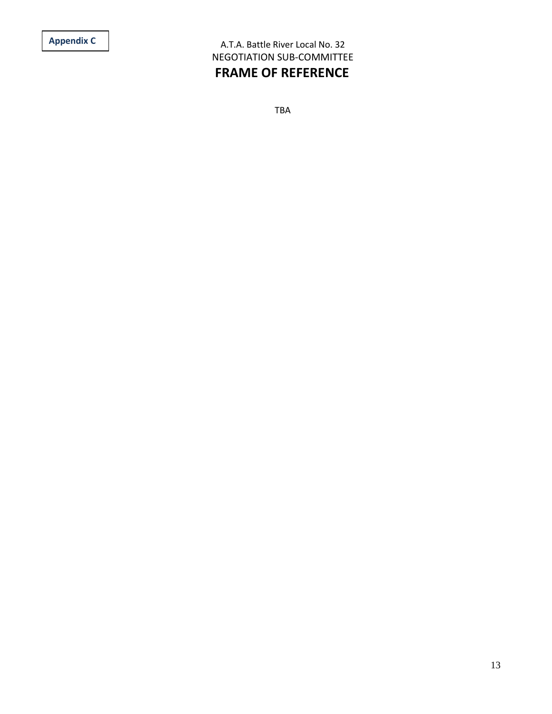A.T.A. Battle River Local No. 32 NEGOTIATION SUB-COMMITTEE **FRAME OF REFERENCE**

TBA